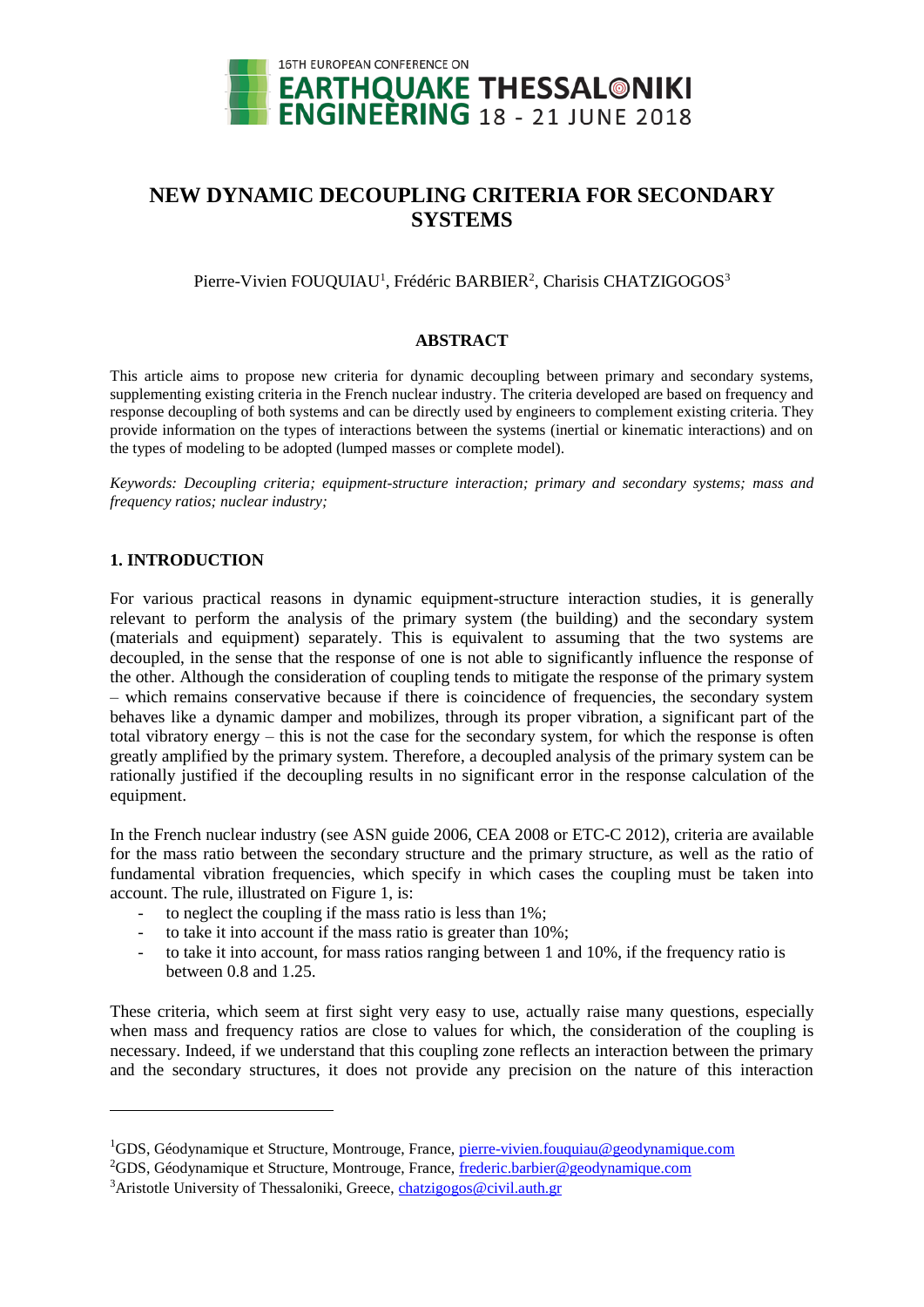

# **NEW DYNAMIC DECOUPLING CRITERIA FOR SECONDARY SYSTEMS**

Pierre-Vivien FOUQUIAU<sup>1</sup>, Frédéric BARBIER<sup>2</sup>, Charisis CHATZIGOGOS<sup>3</sup>

#### **ABSTRACT**

This article aims to propose new criteria for dynamic decoupling between primary and secondary systems, supplementing existing criteria in the French nuclear industry. The criteria developed are based on frequency and response decoupling of both systems and can be directly used by engineers to complement existing criteria. They provide information on the types of interactions between the systems (inertial or kinematic interactions) and on the types of modeling to be adopted (lumped masses or complete model).

*Keywords: Decoupling criteria; equipment-structure interaction; primary and secondary systems; mass and frequency ratios; nuclear industry;*

## **1. INTRODUCTION**

l

For various practical reasons in dynamic equipment-structure interaction studies, it is generally relevant to perform the analysis of the primary system (the building) and the secondary system (materials and equipment) separately. This is equivalent to assuming that the two systems are decoupled, in the sense that the response of one is not able to significantly influence the response of the other. Although the consideration of coupling tends to mitigate the response of the primary system – which remains conservative because if there is coincidence of frequencies, the secondary system behaves like a dynamic damper and mobilizes, through its proper vibration, a significant part of the total vibratory energy – this is not the case for the secondary system, for which the response is often greatly amplified by the primary system. Therefore, a decoupled analysis of the primary system can be rationally justified if the decoupling results in no significant error in the response calculation of the equipment.

In the French nuclear industry (see ASN guide 2006, CEA 2008 or ETC-C 2012), criteria are available for the mass ratio between the secondary structure and the primary structure, as well as the ratio of fundamental vibration frequencies, which specify in which cases the coupling must be taken into account. The rule, illustrated on [Figure 1,](#page-1-0) is:

- to neglect the coupling if the mass ratio is less than 1%;
- to take it into account if the mass ratio is greater than  $10\%$ ;
- to take it into account, for mass ratios ranging between 1 and 10%, if the frequency ratio is between 0.8 and 1.25.

These criteria, which seem at first sight very easy to use, actually raise many questions, especially when mass and frequency ratios are close to values for which, the consideration of the coupling is necessary. Indeed, if we understand that this coupling zone reflects an interaction between the primary and the secondary structures, it does not provide any precision on the nature of this interaction

<sup>&</sup>lt;sup>1</sup>GDS, Géodynamique et Structure, Montrouge, France, [pierre-vivien.fouquiau@geodynamique.com](mailto:pierre-vivien.fouquiau@geodynamique.com)

<sup>2</sup>GDS, Géodynamique et Structure, Montrouge, France, [frederic.barbier@geodynamique.com](mailto:frederic.barbier@geodynamique.com)

<sup>&</sup>lt;sup>3</sup>Aristotle University of Thessaloniki, Greece, [chatzigogos@civil.auth.gr](mailto:chatzigogos@civil.auth.gr)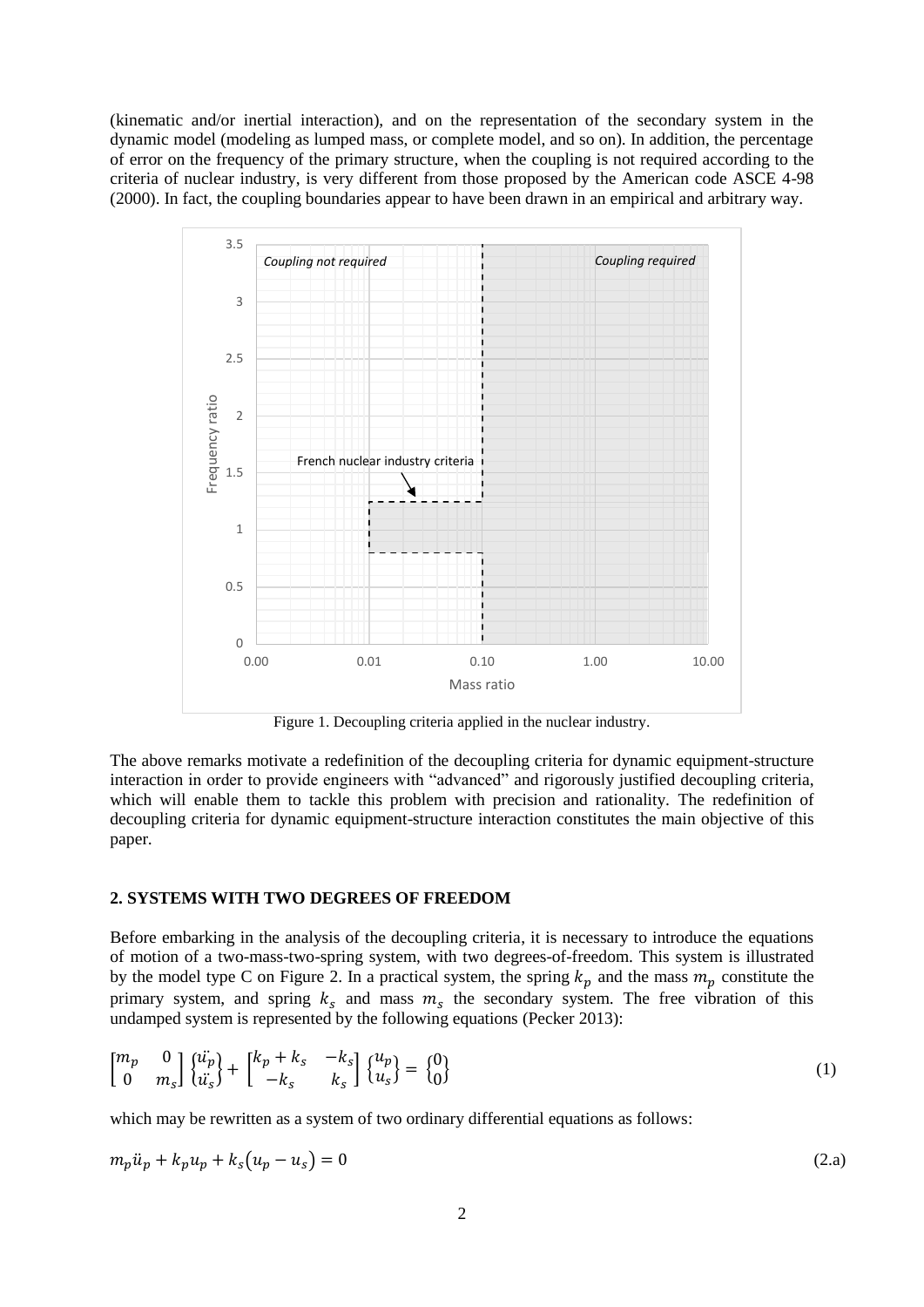(kinematic and/or inertial interaction), and on the representation of the secondary system in the dynamic model (modeling as lumped mass, or complete model, and so on). In addition, the percentage of error on the frequency of the primary structure, when the coupling is not required according to the criteria of nuclear industry, is very different from those proposed by the American code ASCE 4-98 (2000). In fact, the coupling boundaries appear to have been drawn in an empirical and arbitrary way.



Figure 1. Decoupling criteria applied in the nuclear industry.

<span id="page-1-0"></span>The above remarks motivate a redefinition of the decoupling criteria for dynamic equipment-structure interaction in order to provide engineers with "advanced" and rigorously justified decoupling criteria, which will enable them to tackle this problem with precision and rationality. The redefinition of decoupling criteria for dynamic equipment-structure interaction constitutes the main objective of this paper.

## **2. SYSTEMS WITH TWO DEGREES OF FREEDOM**

Before embarking in the analysis of the decoupling criteria, it is necessary to introduce the equations of motion of a two-mass-two-spring system, with two degrees-of-freedom. This system is illustrated by the model type C on [Figure 2.](#page-2-0) In a practical system, the spring  $k_p$  and the mass  $m_p$  constitute the primary system, and spring  $k_s$  and mass  $m_s$  the secondary system. The free vibration of this undamped system is represented by the following equations (Pecker 2013):

$$
\begin{bmatrix} m_p & 0 \\ 0 & m_s \end{bmatrix} \begin{Bmatrix} \ddot{u_p} \\ \ddot{u_s} \end{Bmatrix} + \begin{bmatrix} k_p + k_s & -k_s \\ -k_s & k_s \end{bmatrix} \begin{Bmatrix} u_p \\ u_s \end{Bmatrix} = \begin{Bmatrix} 0 \\ 0 \end{Bmatrix}
$$
 (1)

which may be rewritten as a system of two ordinary differential equations as follows:

$$
m_p \ddot{u}_p + k_p u_p + k_s (u_p - u_s) = 0 \tag{2.3}
$$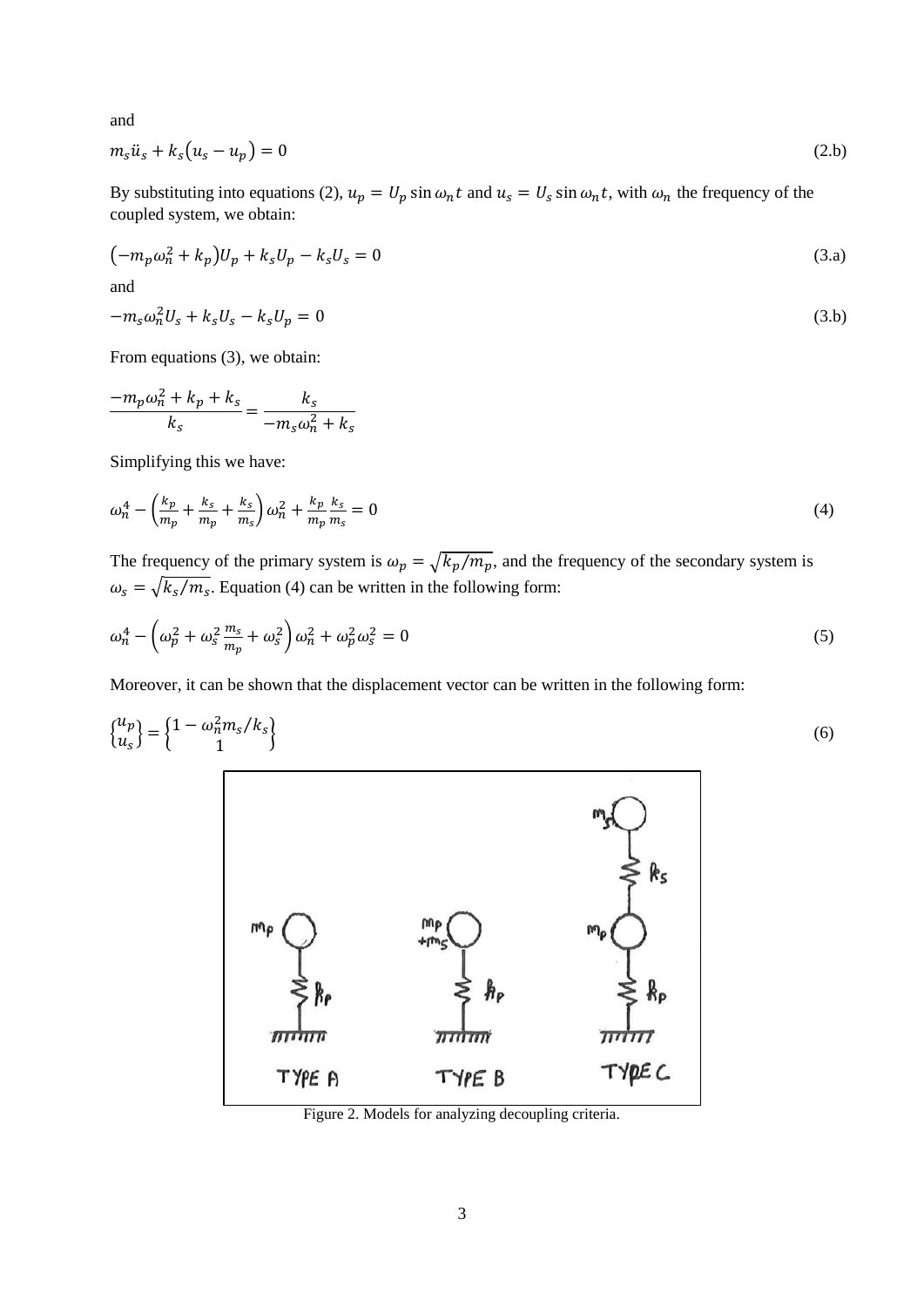and

$$
m_s \ddot{u}_s + k_s (u_s - u_p) = 0 \tag{2.b}
$$

By substituting into equations (2),  $u_p = U_p \sin \omega_n t$  and  $u_s = U_s \sin \omega_n t$ , with  $\omega_n$  the frequency of the coupled system, we obtain:

$$
(-m_p \omega_n^2 + k_p)U_p + k_s U_p - k_s U_s = 0
$$
\n(3. a)

and

$$
-ms\omegan2Us + ksUs - ksUp = 0
$$
\n(3.b)

From equations (3), we obtain:

$$
\frac{-m_p\omega_n^2 + k_p + k_s}{k_s} = \frac{k_s}{-m_s\omega_n^2 + k_s}
$$

Simplifying this we have:

$$
\omega_n^4 - \left(\frac{k_p}{m_p} + \frac{k_s}{m_p} + \frac{k_s}{m_s}\right)\omega_n^2 + \frac{k_p}{m_p}\frac{k_s}{m_s} = 0
$$
\n(4)

The frequency of the primary system is  $\omega_p = \sqrt{k_p/m_p}$ , and the frequency of the secondary system is  $\omega_s = \sqrt{k_s/m_s}$ . Equation (4) can be written in the following form:

$$
\omega_n^4 - \left(\omega_p^2 + \omega_s^2 \frac{m_s}{m_p} + \omega_s^2\right) \omega_n^2 + \omega_p^2 \omega_s^2 = 0
$$
\n<sup>(5)</sup>

Moreover, it can be shown that the displacement vector can be written in the following form:

$$
\begin{Bmatrix} u_p \\ u_s \end{Bmatrix} = \begin{Bmatrix} 1 - \omega_n^2 m_s / k_s \\ 1 \end{Bmatrix} \tag{6}
$$



<span id="page-2-0"></span>Figure 2. Models for analyzing decoupling criteria.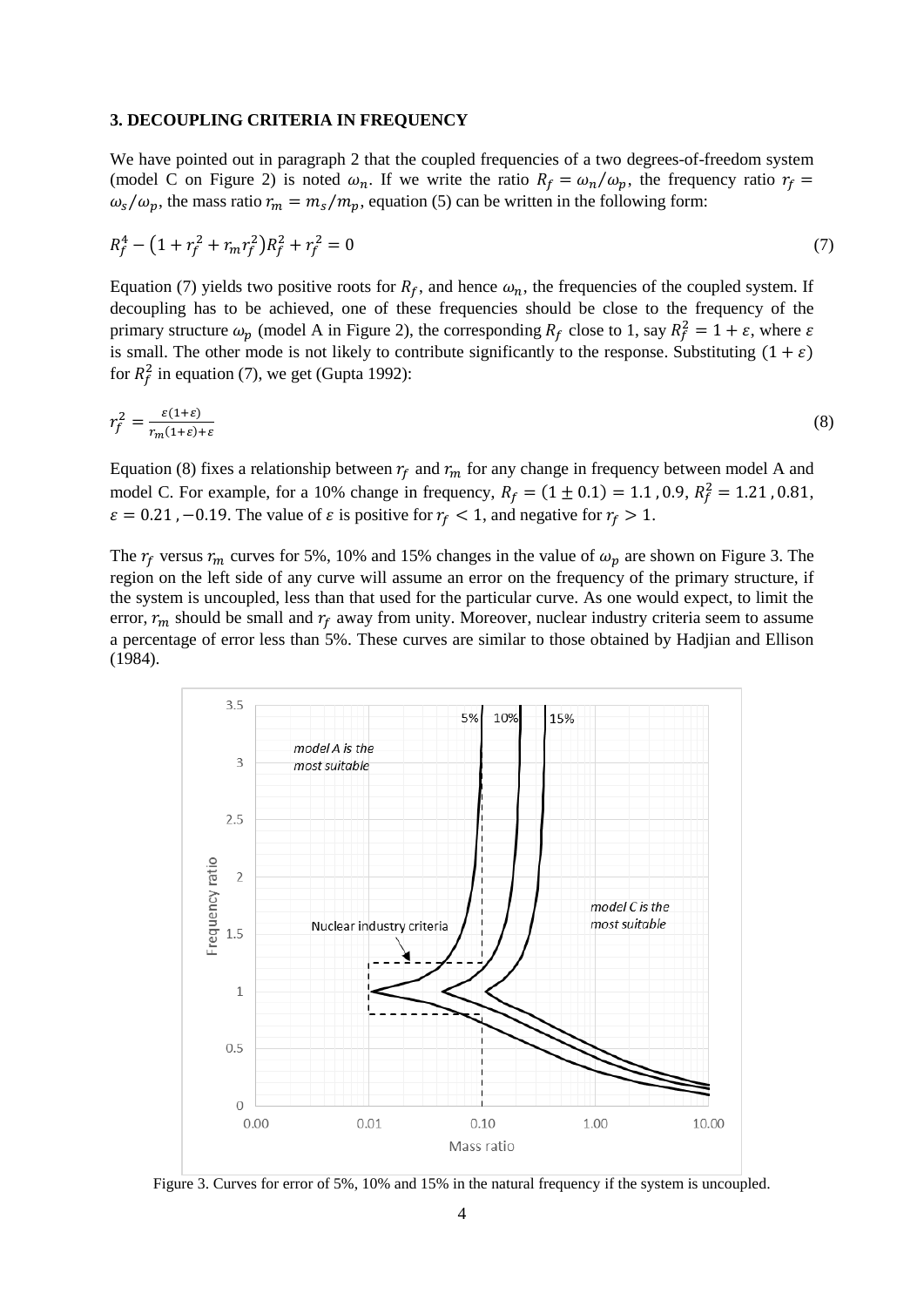#### **3. DECOUPLING CRITERIA IN FREQUENCY**

We have pointed out in paragraph 2 that the coupled frequencies of a two degrees-of-freedom system (model C on [Figure 2\)](#page-2-0) is noted  $\omega_n$ . If we write the ratio  $R_f = \omega_n/\omega_p$ , the frequency ratio  $r_f =$  $\omega_s/\omega_p$ , the mass ratio  $r_m = m_s/m_p$ , equation (5) can be written in the following form:

$$
R_f^4 - \left(1 + r_f^2 + r_m r_f^2\right)R_f^2 + r_f^2 = 0\tag{7}
$$

Equation (7) yields two positive roots for  $R_f$ , and hence  $\omega_n$ , the frequencies of the coupled system. If decoupling has to be achieved, one of these frequencies should be close to the frequency of the primary structure  $\omega_p$  (model A in [Figure 2\)](#page-2-0), the corresponding  $R_f$  close to 1, say  $R_f^2 = 1 + \varepsilon$ , where  $\varepsilon$ is small. The other mode is not likely to contribute significantly to the response. Substituting  $(1 + \varepsilon)$ for  $R_f^2$  in equation (7), we get (Gupta 1992):

$$
r_f^2 = \frac{\varepsilon(1+\varepsilon)}{r_m(1+\varepsilon)+\varepsilon} \tag{8}
$$

Equation (8) fixes a relationship between  $r_f$  and  $r_m$  for any change in frequency between model A and model C. For example, for a 10% change in frequency,  $R_f = (1 \pm 0.1) = 1.1$ , 0.9,  $R_f^2 = 1.21$ , 0.81,  $\varepsilon = 0.21$ , -0.19. The value of  $\varepsilon$  is positive for  $r_f < 1$ , and negative for  $r_f > 1$ .

The  $r_f$  versus  $r_m$  curves for 5%, 10% and 15% changes in the value of  $\omega_p$  are shown on [Figure 3.](#page-3-0) The region on the left side of any curve will assume an error on the frequency of the primary structure, if the system is uncoupled, less than that used for the particular curve. As one would expect, to limit the error,  $r_m$  should be small and  $r_f$  away from unity. Moreover, nuclear industry criteria seem to assume a percentage of error less than 5%. These curves are similar to those obtained by Hadjian and Ellison (1984).



<span id="page-3-0"></span>Figure 3. Curves for error of 5%, 10% and 15% in the natural frequency if the system is uncoupled.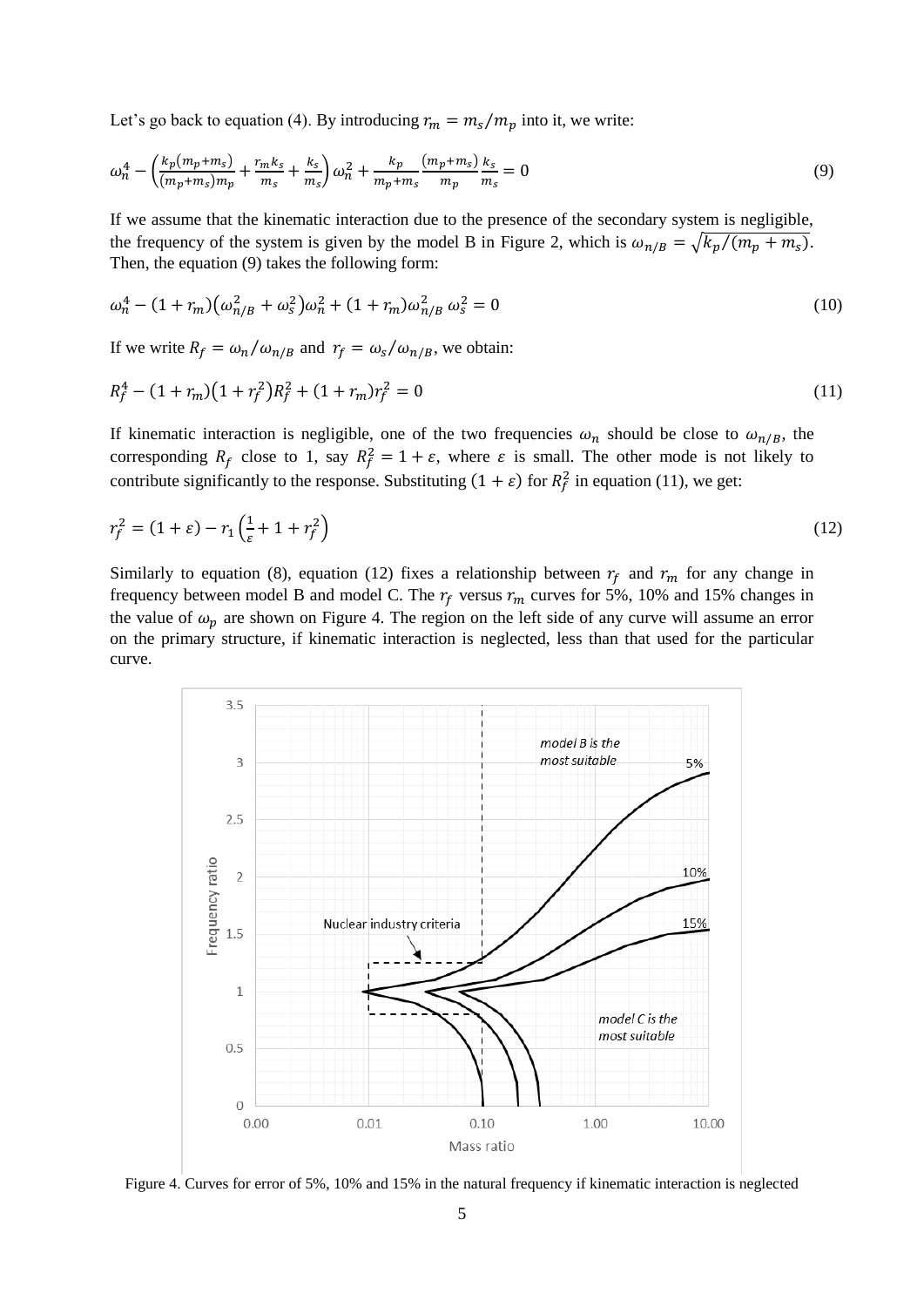Let's go back to equation (4). By introducing  $r_m = m_s/m_p$  into it, we write:

$$
\omega_n^4 - \left(\frac{k_p(m_p + m_s)}{(m_p + m_s)m_p} + \frac{r_m k_s}{m_s} + \frac{k_s}{m_s}\right)\omega_n^2 + \frac{k_p}{m_p + m_s}\frac{(m_p + m_s)}{m_p}\frac{k_s}{m_s} = 0\tag{9}
$$

If we assume that the kinematic interaction due to the presence of the secondary system is negligible, the frequency of the system is given by the model B in [Figure 2,](#page-2-0) which is  $\omega_{n/B} = \sqrt{k_p/(m_p + m_s)}$ . Then, the equation (9) takes the following form:

$$
\omega_n^4 - (1 + r_m) \left( \omega_{n/B}^2 + \omega_s^2 \right) \omega_n^2 + (1 + r_m) \omega_{n/B}^2 \omega_s^2 = 0 \tag{10}
$$

If we write  $R_f = \omega_n / \omega_{n/B}$  and  $r_f = \omega_s / \omega_{n/B}$ , we obtain:

$$
R_f^4 - (1 + r_m)(1 + r_f^2)R_f^2 + (1 + r_m)r_f^2 = 0
$$
\n(11)

If kinematic interaction is negligible, one of the two frequencies  $\omega_n$  should be close to  $\omega_{n/R}$ , the corresponding  $R_f$  close to 1, say  $R_f^2 = 1 + \varepsilon$ , where  $\varepsilon$  is small. The other mode is not likely to contribute significantly to the response. Substituting  $(1 + \varepsilon)$  for  $R_f^2$  in equation (11), we get:

$$
r_f^2 = (1 + \varepsilon) - r_1 \left(\frac{1}{\varepsilon} + 1 + r_f^2\right)
$$
 (12)

Similarly to equation (8), equation (12) fixes a relationship between  $r_f$  and  $r_m$  for any change in frequency between model B and model C. The  $r_f$  versus  $r_m$  curves for 5%, 10% and 15% changes in the value of  $\omega_p$  are shown on [Figure 4.](#page-4-0) The region on the left side of any curve will assume an error on the primary structure, if kinematic interaction is neglected, less than that used for the particular curve.



<span id="page-4-0"></span>Figure 4. Curves for error of 5%, 10% and 15% in the natural frequency if kinematic interaction is neglected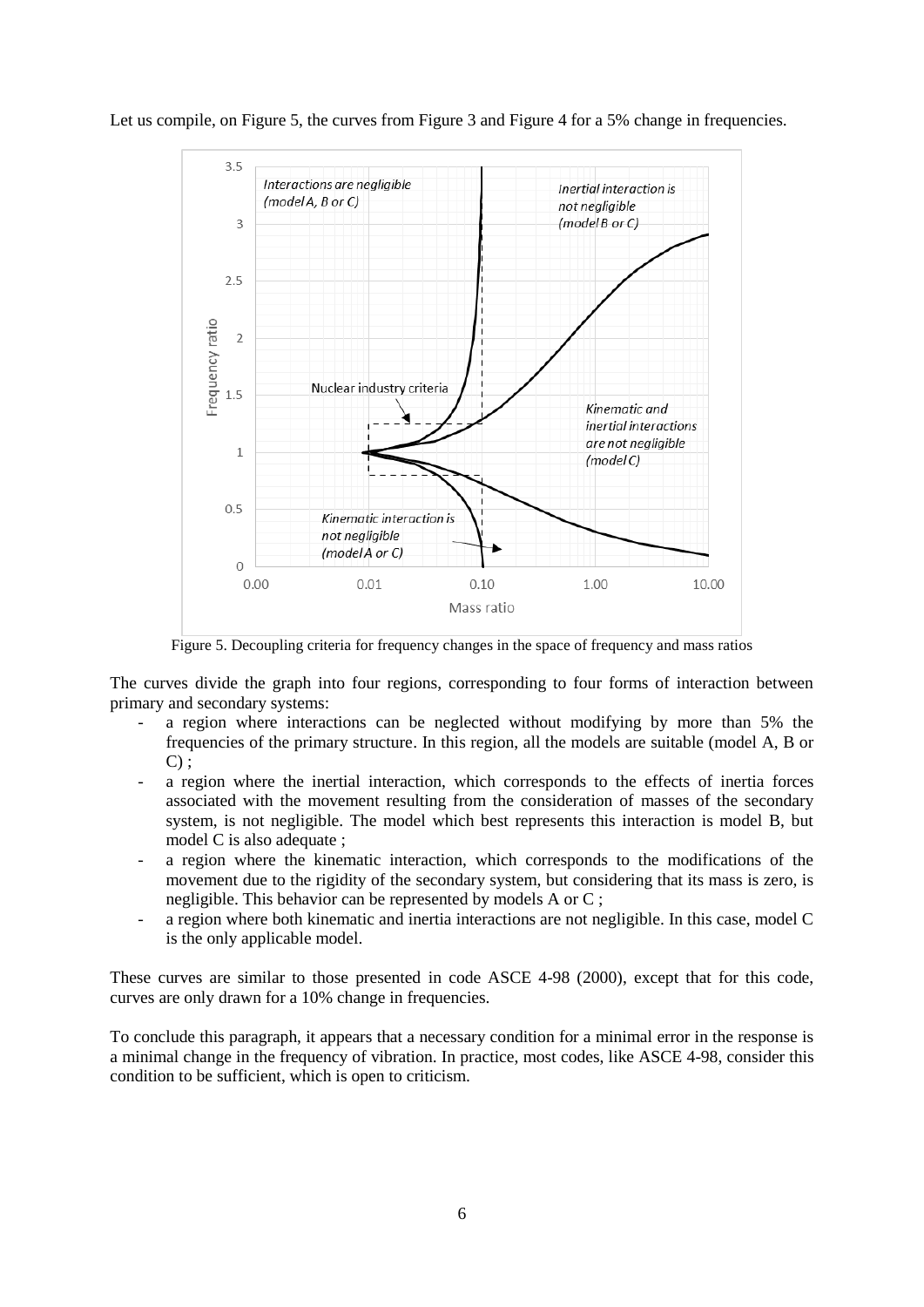

Let us compile, on [Figure 5,](#page-5-0) the curves from [Figure 3](#page-3-0) and [Figure 4](#page-4-0) for a 5% change in frequencies.

Figure 5. Decoupling criteria for frequency changes in the space of frequency and mass ratios

<span id="page-5-0"></span>The curves divide the graph into four regions, corresponding to four forms of interaction between primary and secondary systems:

- a region where interactions can be neglected without modifying by more than 5% the frequencies of the primary structure. In this region, all the models are suitable (model A, B or  $C$ ) :
- a region where the inertial interaction, which corresponds to the effects of inertia forces associated with the movement resulting from the consideration of masses of the secondary system, is not negligible. The model which best represents this interaction is model B, but model C is also adequate ;
- a region where the kinematic interaction, which corresponds to the modifications of the movement due to the rigidity of the secondary system, but considering that its mass is zero, is negligible. This behavior can be represented by models A or C ;
- a region where both kinematic and inertia interactions are not negligible. In this case, model C is the only applicable model.

These curves are similar to those presented in code ASCE 4-98 (2000), except that for this code, curves are only drawn for a 10% change in frequencies.

To conclude this paragraph, it appears that a necessary condition for a minimal error in the response is a minimal change in the frequency of vibration. In practice, most codes, like ASCE 4-98, consider this condition to be sufficient, which is open to criticism.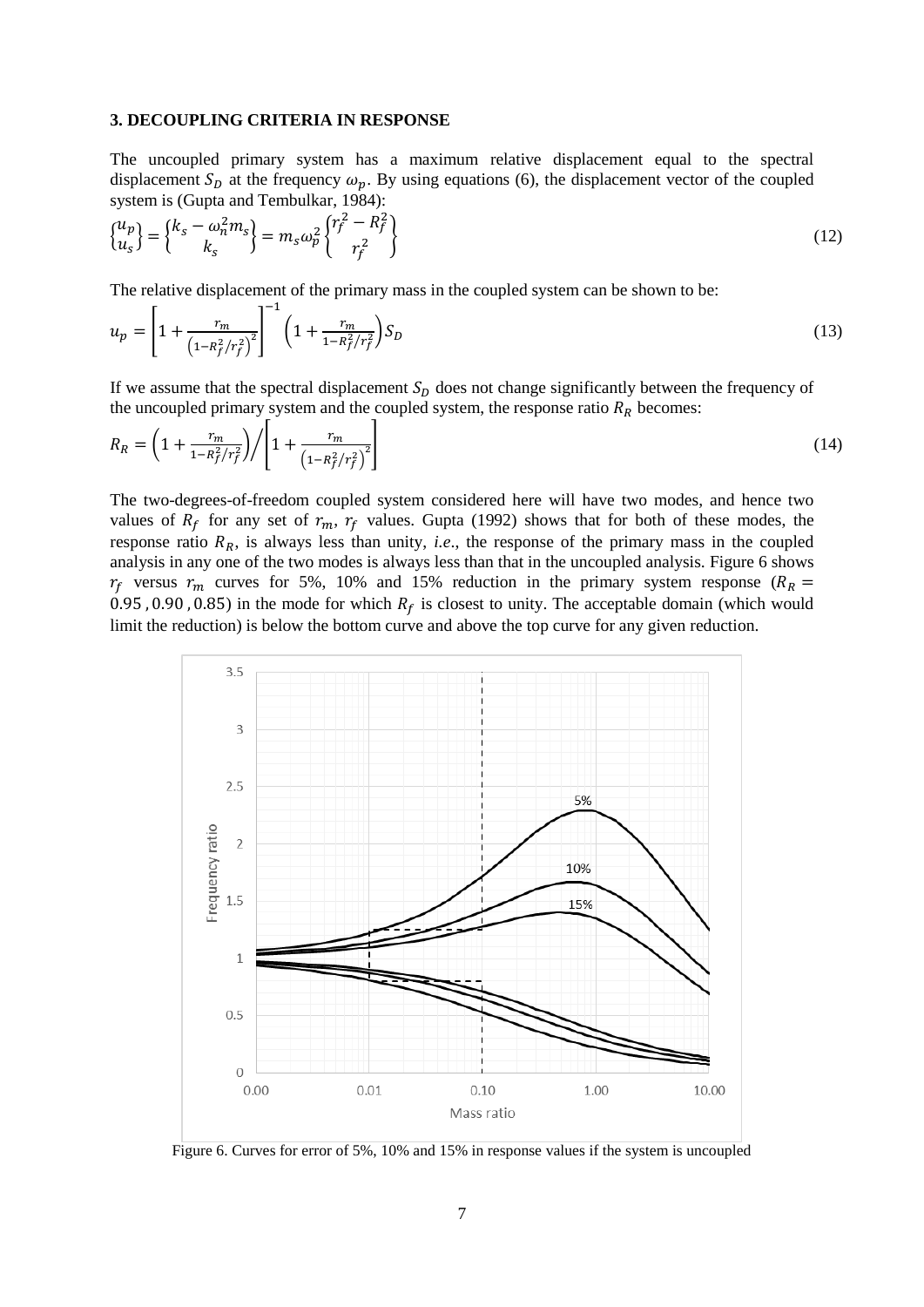#### **3. DECOUPLING CRITERIA IN RESPONSE**

 $-1$ 

The uncoupled primary system has a maximum relative displacement equal to the spectral displacement  $S_p$  at the frequency  $\omega_p$ . By using equations (6), the displacement vector of the coupled system is (Gupta and Tembulkar, 1984):

$$
\begin{Bmatrix} u_p \\ u_s \end{Bmatrix} = \begin{Bmatrix} k_s - \omega_n^2 m_s \\ k_s \end{Bmatrix} = m_s \omega_p^2 \begin{Bmatrix} r_f^2 - R_f^2 \\ r_f^2 \end{Bmatrix}
$$
 (12)

The relative displacement of the primary mass in the coupled system can be shown to be:

$$
u_p = \left[1 + \frac{r_m}{\left(1 - R_f^2 / r_f^2\right)^2}\right] \left(1 + \frac{r_m}{1 - R_f^2 / r_f^2}\right) S_D \tag{13}
$$

If we assume that the spectral displacement  $S<sub>D</sub>$  does not change significantly between the frequency of the uncoupled primary system and the coupled system, the response ratio  $R_R$  becomes:

$$
R_R = \left(1 + \frac{r_m}{1 - R_f^2 / r_f^2}\right) / \left[1 + \frac{r_m}{\left(1 - R_f^2 / r_f^2\right)^2}\right] \tag{14}
$$

The two-degrees-of-freedom coupled system considered here will have two modes, and hence two values of  $R_f$  for any set of  $r_m$ ,  $r_f$  values. Gupta (1992) shows that for both of these modes, the response ratio  $R_R$ , is always less than unity, *i.e.*, the response of the primary mass in the coupled analysis in any one of the two modes is always less than that in the uncoupled analysis. [Figure 6](#page-6-0) shows  $r_f$  versus  $r_m$  curves for 5%, 10% and 15% reduction in the primary system response ( $R_R$  = 0.95, 0.90, 0.85) in the mode for which  $R_f$  is closest to unity. The acceptable domain (which would limit the reduction) is below the bottom curve and above the top curve for any given reduction.



<span id="page-6-0"></span>Figure 6. Curves for error of 5%, 10% and 15% in response values if the system is uncoupled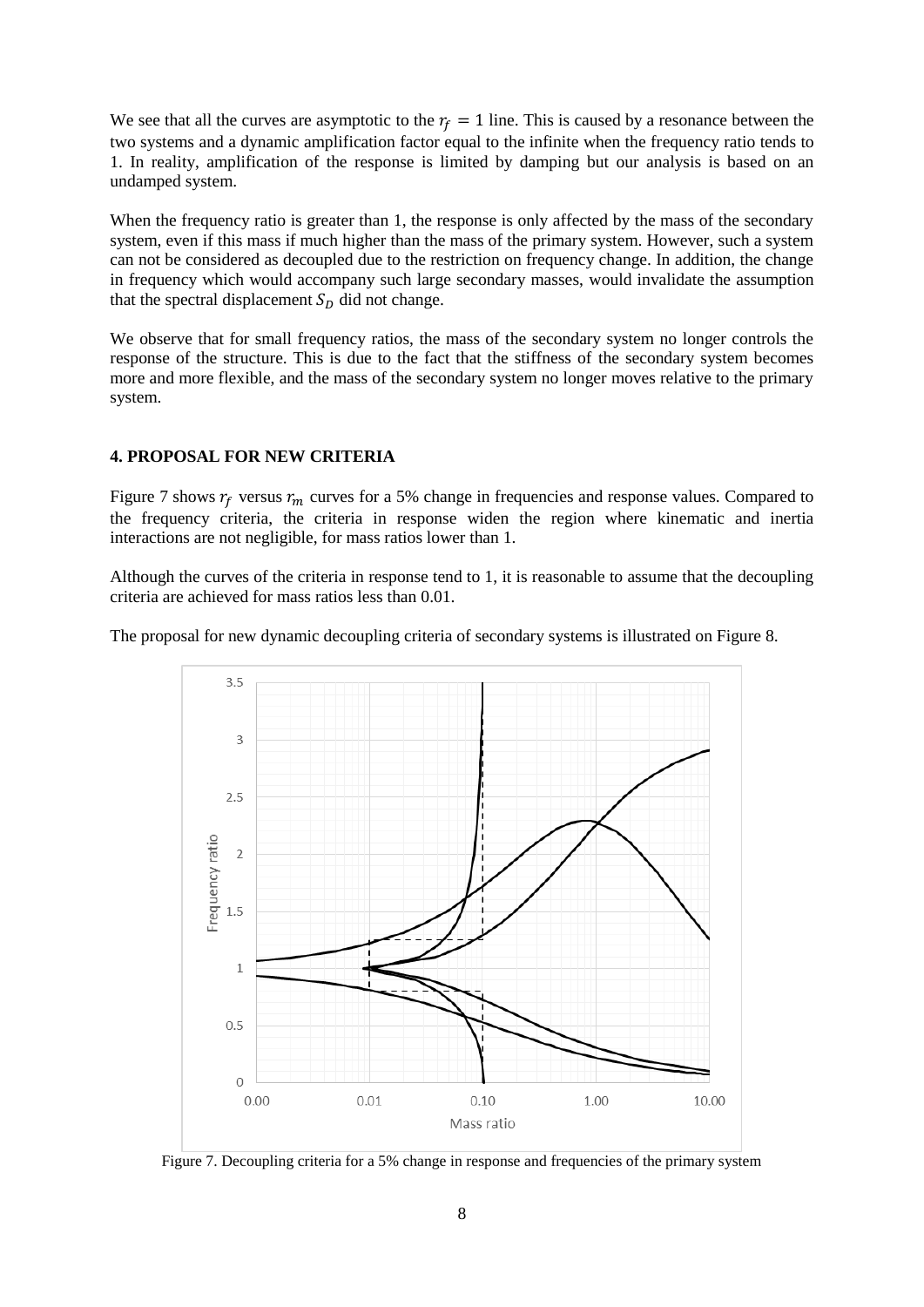We see that all the curves are asymptotic to the  $r_f = 1$  line. This is caused by a resonance between the two systems and a dynamic amplification factor equal to the infinite when the frequency ratio tends to 1. In reality, amplification of the response is limited by damping but our analysis is based on an undamped system.

When the frequency ratio is greater than 1, the response is only affected by the mass of the secondary system, even if this mass if much higher than the mass of the primary system. However, such a system can not be considered as decoupled due to the restriction on frequency change. In addition, the change in frequency which would accompany such large secondary masses, would invalidate the assumption that the spectral displacement  $S<sub>D</sub>$  did not change.

We observe that for small frequency ratios, the mass of the secondary system no longer controls the response of the structure. This is due to the fact that the stiffness of the secondary system becomes more and more flexible, and the mass of the secondary system no longer moves relative to the primary system.

# **4. PROPOSAL FOR NEW CRITERIA**

[Figure 7](#page-7-0) shows  $r_f$  versus  $r_m$  curves for a 5% change in frequencies and response values. Compared to the frequency criteria, the criteria in response widen the region where kinematic and inertia interactions are not negligible, for mass ratios lower than 1.

Although the curves of the criteria in response tend to 1, it is reasonable to assume that the decoupling criteria are achieved for mass ratios less than 0.01.

The proposal for new dynamic decoupling criteria of secondary systems is illustrated o[n Figure 8.](#page-8-0)



<span id="page-7-0"></span>Figure 7. Decoupling criteria for a 5% change in response and frequencies of the primary system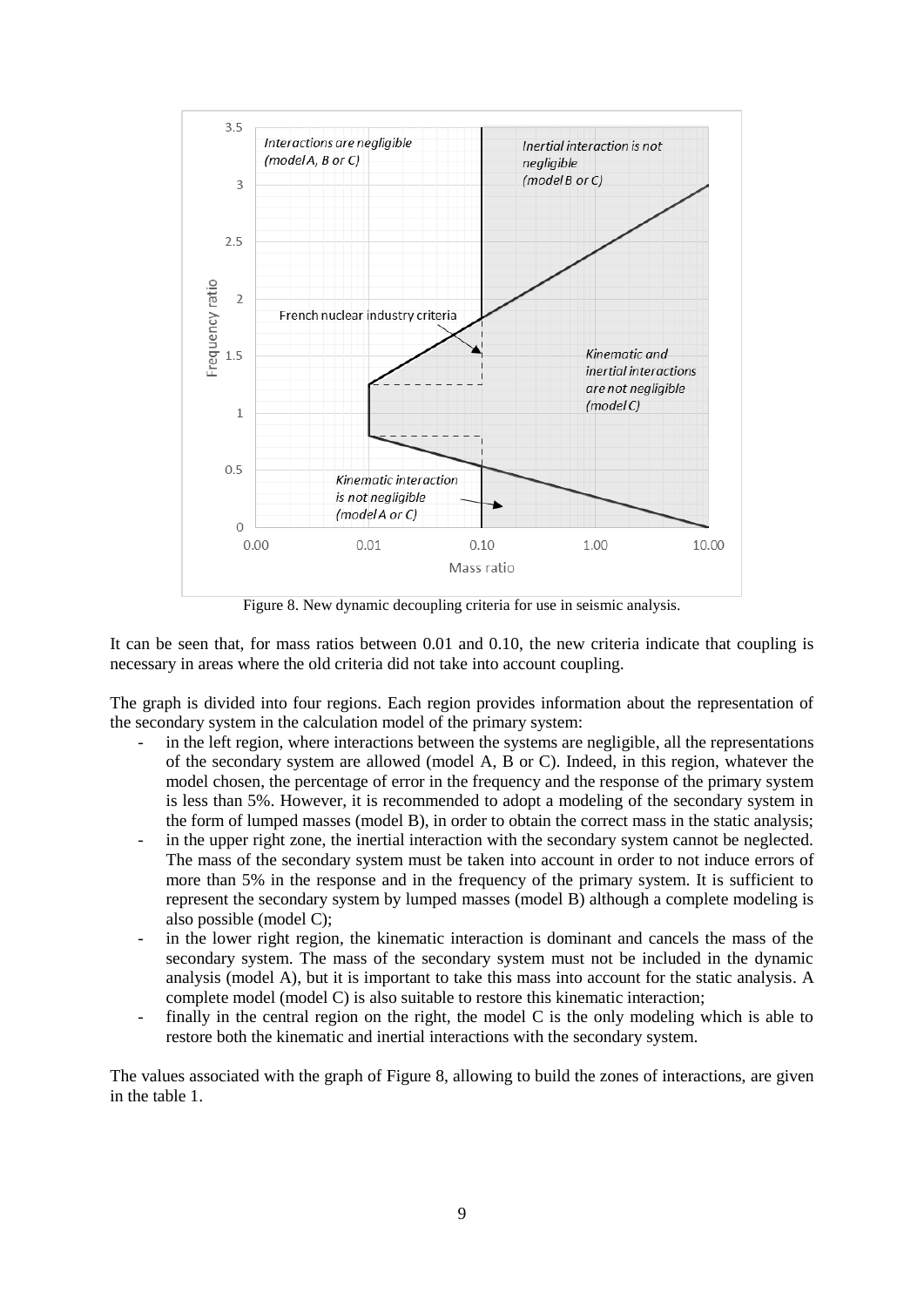

Figure 8. New dynamic decoupling criteria for use in seismic analysis.

<span id="page-8-0"></span>It can be seen that, for mass ratios between 0.01 and 0.10, the new criteria indicate that coupling is necessary in areas where the old criteria did not take into account coupling.

The graph is divided into four regions. Each region provides information about the representation of the secondary system in the calculation model of the primary system:

- in the left region, where interactions between the systems are negligible, all the representations of the secondary system are allowed (model A, B or C). Indeed, in this region, whatever the model chosen, the percentage of error in the frequency and the response of the primary system is less than 5%. However, it is recommended to adopt a modeling of the secondary system in the form of lumped masses (model B), in order to obtain the correct mass in the static analysis;
- in the upper right zone, the inertial interaction with the secondary system cannot be neglected. The mass of the secondary system must be taken into account in order to not induce errors of more than 5% in the response and in the frequency of the primary system. It is sufficient to represent the secondary system by lumped masses (model B) although a complete modeling is also possible (model C);
- in the lower right region, the kinematic interaction is dominant and cancels the mass of the secondary system. The mass of the secondary system must not be included in the dynamic analysis (model A), but it is important to take this mass into account for the static analysis. A complete model (model C) is also suitable to restore this kinematic interaction;
- finally in the central region on the right, the model  $C$  is the only modeling which is able to restore both the kinematic and inertial interactions with the secondary system.

The values associated with the graph of [Figure 8,](#page-8-0) allowing to build the zones of interactions, are given in the table 1.